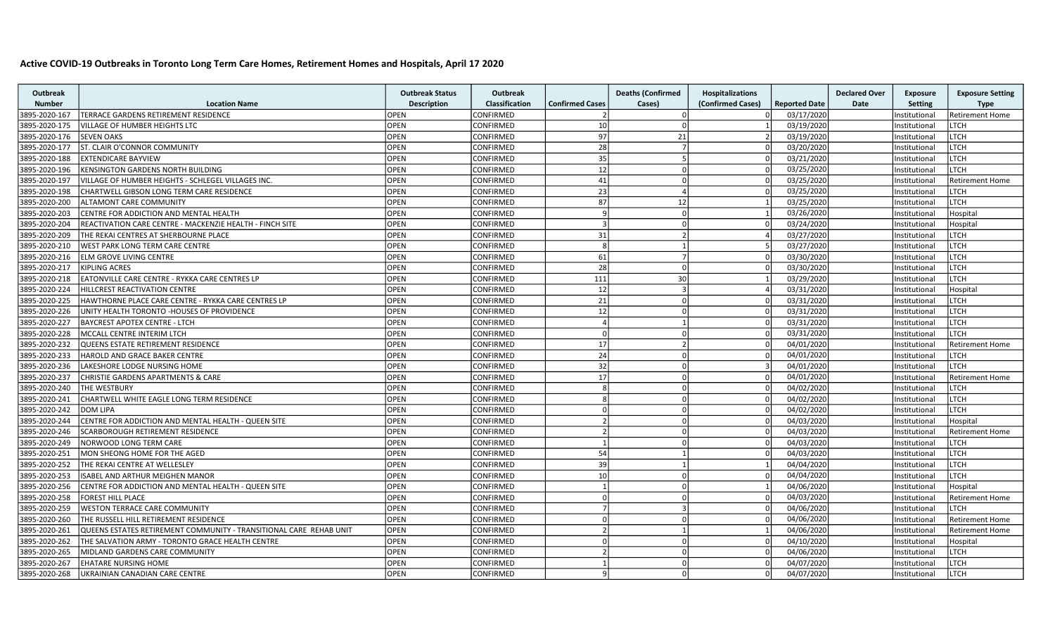## Active COVID-19 Outbreaks in Toronto Long Term Care Homes, Retirement Homes and Hospitals, April 17 2020

| <b>Outbreak</b> |                                                                    | <b>Outbreak Status</b> | <b>Outbreak</b> |                          | <b>Deaths (Confirmed</b> | <b>Hospitalizations</b> |                      | <b>Declared Over</b> | <b>Exposure</b> | <b>Exposure Setting</b> |
|-----------------|--------------------------------------------------------------------|------------------------|-----------------|--------------------------|--------------------------|-------------------------|----------------------|----------------------|-----------------|-------------------------|
| <b>Number</b>   | <b>Location Name</b>                                               | <b>Description</b>     | Classification  | <b>Confirmed Cases</b>   | Cases)                   | (Confirmed Cases)       | <b>Reported Date</b> | Date                 | <b>Setting</b>  | <b>Type</b>             |
| 3895-2020-167   | TERRACE GARDENS RETIREMENT RESIDENCE                               | <b>OPEN</b>            | CONFIRMED       | $\overline{2}$           |                          |                         | 03/17/2020           |                      | Institutional   | <b>Retirement Home</b>  |
| 3895-2020-175   | VILLAGE OF HUMBER HEIGHTS LTC                                      | <b>OPEN</b>            | CONFIRMED       | 10 <sup>1</sup>          |                          |                         | 03/19/2020           |                      | nstitutional    | <b>LTCH</b>             |
| 3895-2020-176   | <b>SEVEN OAKS</b>                                                  | <b>OPEN</b>            | CONFIRMED       | 97                       | 21                       |                         | 03/19/2020           |                      | nstitutional    | <b>LTCH</b>             |
| 3895-2020-177   | ST. CLAIR O'CONNOR COMMUNITY                                       | <b>OPEN</b>            | CONFIRMED       | 28                       |                          | $\Omega$                | 03/20/2020           |                      | Institutional   | <b>LTCH</b>             |
| 3895-2020-188   | <b>EXTENDICARE BAYVIEW</b>                                         | <b>OPEN</b>            | CONFIRMED       | 35                       | $\overline{a}$           | $\Omega$                | 03/21/2020           |                      | Institutional   | <b>LTCH</b>             |
| 3895-2020-196   | KENSINGTON GARDENS NORTH BUILDING                                  | <b>OPEN</b>            | CONFIRMED       | 12                       |                          |                         | 03/25/2020           |                      | Institutional   | <b>LTCH</b>             |
| 3895-2020-197   | VILLAGE OF HUMBER HEIGHTS - SCHLEGEL VILLAGES INC.                 | <b>OPEN</b>            | CONFIRMED       | 41                       |                          | $\Omega$                | 03/25/2020           |                      | Institutional   | <b>Retirement Home</b>  |
| 3895-2020-198   | CHARTWELL GIBSON LONG TERM CARE RESIDENCE                          | <b>OPEN</b>            | CONFIRMED       | 23                       |                          | $\Omega$                | 03/25/2020           |                      | Institutional   | <b>LTCH</b>             |
| 3895-2020-200   | ALTAMONT CARE COMMUNITY                                            | <b>OPEN</b>            | CONFIRMED       | 87                       | 12                       |                         | 03/25/2020           |                      | nstitutional    | <b>LTCH</b>             |
| 3895-2020-203   | CENTRE FOR ADDICTION AND MENTAL HEALTH                             | <b>OPEN</b>            | CONFIRMED       | $\mathsf{q}$             | $\Omega$                 |                         | 03/26/2020           |                      | Institutional   | Hospital                |
| 3895-2020-204   | REACTIVATION CARE CENTRE - MACKENZIE HEALTH - FINCH SITE           | <b>OPEN</b>            | CONFIRMED       | $\vert$ 3                | $\Omega$                 | $\Omega$                | 03/24/2020           |                      | Institutional   | Hospital                |
| 3895-2020-209   | THE REKAI CENTRES AT SHERBOURNE PLACE                              | <b>OPEN</b>            | CONFIRMED       | 31                       |                          |                         | 03/27/2020           |                      | Institutional   | <b>LTCH</b>             |
| 3895-2020-210   | WEST PARK LONG TERM CARE CENTRE                                    | <b>OPEN</b>            | CONFIRMED       | $\mathbf{g}$             |                          |                         | 03/27/2020           |                      | Institutional   | <b>LTCH</b>             |
| 3895-2020-216   | ELM GROVE LIVING CENTRE                                            | OPEN                   | CONFIRMED       | 61                       |                          | $\Omega$                | 03/30/2020           |                      | Institutional   | <b>LTCH</b>             |
| 3895-2020-217   | <b>KIPLING ACRES</b>                                               | <b>OPEN</b>            | CONFIRMED       | 28 <sup>1</sup>          | $\Omega$                 |                         | 03/30/2020           |                      | Institutional   | <b>LTCH</b>             |
| 3895-2020-218   | EATONVILLE CARE CENTRE - RYKKA CARE CENTRES LP                     | <b>OPEN</b>            | CONFIRMED       | 111                      | 30 <sup>1</sup>          |                         | 03/29/2020           |                      | Institutional   | <b>LTCH</b>             |
| 3895-2020-224   | HILLCREST REACTIVATION CENTRE                                      | <b>OPEN</b>            | CONFIRMED       | 12                       |                          |                         | 03/31/2020           |                      | Institutional   | Hospital                |
| 3895-2020-225   | HAWTHORNE PLACE CARE CENTRE - RYKKA CARE CENTRES LP                | <b>OPEN</b>            | CONFIRMED       | 21                       |                          |                         | 03/31/2020           |                      | Institutional   | LTCH                    |
| 3895-2020-226   | UNITY HEALTH TORONTO -HOUSES OF PROVIDENCE                         | <b>OPEN</b>            | CONFIRMED       | 12                       |                          |                         | 03/31/2020           |                      | Institutional   | <b>LTCH</b>             |
| 3895-2020-227   | <b>BAYCREST APOTEX CENTRE - LTCH</b>                               | <b>OPEN</b>            | CONFIRMED       | $\overline{4}$           |                          |                         | 03/31/2020           |                      | nstitutional    | <b>LTCH</b>             |
| 3895-2020-228   | MCCALL CENTRE INTERIM LTCH                                         | <b>OPEN</b>            | CONFIRMED       | $\Omega$                 |                          | $\Omega$                | 03/31/2020           |                      | Institutional   | <b>LTCH</b>             |
| 3895-2020-232   | QUEENS ESTATE RETIREMENT RESIDENCE                                 | <b>OPEN</b>            | CONFIRMED       | 17 <sup>1</sup>          |                          | $\cap$                  | 04/01/2020           |                      | Institutional   | <b>Retirement Home</b>  |
| 3895-2020-233   | HAROLD AND GRACE BAKER CENTRE                                      | OPEN                   | CONFIRMED       | 24                       |                          |                         | 04/01/2020           |                      | nstitutional    | <b>LTCH</b>             |
| 3895-2020-236   | LAKESHORE LODGE NURSING HOME                                       | <b>OPEN</b>            | CONFIRMED       | 32                       |                          | $\mathbf{R}$            | 04/01/2020           |                      | Institutional   | <b>LTCH</b>             |
| 3895-2020-237   | <b>CHRISTIE GARDENS APARTMENTS &amp; CARE</b>                      | <b>OPEN</b>            | CONFIRMED       | 17 <sup>1</sup>          |                          | $\Omega$                | 04/01/2020           |                      | Institutional   | <b>Retirement Home</b>  |
| 3895-2020-240   | THE WESTBURY                                                       | OPEN                   | CONFIRMED       | $\mathbf{R}$             |                          |                         | 04/02/2020           |                      | nstitutional    | <b>LTCH</b>             |
| 3895-2020-241   | CHARTWELL WHITE EAGLE LONG TERM RESIDENCE                          | <b>OPEN</b>            | CONFIRMED       | $\mathbf{g}$             |                          |                         | 04/02/2020           |                      | Institutional   | <b>LTCH</b>             |
| 3895-2020-242   | <b>DOM LIPA</b>                                                    | <b>OPEN</b>            | CONFIRMED       | $\Omega$                 |                          | $\Omega$                | 04/02/2020           |                      | Institutional   | <b>LTCH</b>             |
| 3895-2020-244   | CENTRE FOR ADDICTION AND MENTAL HEALTH - QUEEN SITE                | <b>OPEN</b>            | CONFIRMED       | $\overline{2}$           |                          |                         | 04/03/2020           |                      | Institutional   | Hospital                |
| 3895-2020-246   | SCARBOROUGH RETIREMENT RESIDENCE                                   | <b>OPEN</b>            | CONFIRMED       | $\overline{2}$           |                          |                         | 04/03/2020           |                      | Institutional   | <b>Retirement Home</b>  |
| 3895-2020-249   | NORWOOD LONG TERM CARE                                             | <b>OPEN</b>            | CONFIRMED       | 1                        |                          | $\Omega$                | 04/03/2020           |                      | Institutional   | <b>LTCH</b>             |
| 3895-2020-251   | MON SHEONG HOME FOR THE AGED                                       | <b>OPEN</b>            | CONFIRMED       | 54                       |                          | $\sqrt{ }$              | 04/03/2020           |                      | Institutional   | <b>LTCH</b>             |
| 3895-2020-252   | THE REKAI CENTRE AT WELLESLEY                                      | OPEN                   | CONFIRMED       | 39                       |                          |                         | 04/04/2020           |                      | Institutional   | <b>LTCH</b>             |
| 3895-2020-253   | ISABEL AND ARTHUR MEIGHEN MANOR                                    | <b>OPEN</b>            | CONFIRMED       | 10 <sup>1</sup>          | n                        |                         | 04/04/2020           |                      | Institutional   | LTCH                    |
| 3895-2020-256   | CENTRE FOR ADDICTION AND MENTAL HEALTH - QUEEN SITE                | <b>OPEN</b>            | CONFIRMED       |                          |                          |                         | 04/06/2020           |                      | Institutional   | Hospital                |
| 3895-2020-258   | <b>FOREST HILL PLACE</b>                                           | <b>OPEN</b>            | CONFIRMED       | $\Omega$                 |                          |                         | 04/03/2020           |                      | Institutional   | <b>Retirement Home</b>  |
| 3895-2020-259   | <b>WESTON TERRACE CARE COMMUNITY</b>                               | <b>OPEN</b>            | CONFIRMED       | $\overline{7}$           |                          |                         | 04/06/2020           |                      | Institutional   | LTCH                    |
| 3895-2020-260   | THE RUSSELL HILL RETIREMENT RESIDENCE                              | <b>OPEN</b>            | CONFIRMED       | $\Omega$                 |                          | $\cap$                  | 04/06/2020           |                      | Institutional   | <b>Retirement Home</b>  |
| 3895-2020-261   | QUEENS ESTATES RETIREMENT COMMUNITY - TRANSITIONAL CARE REHAB UNIT | <b>OPEN</b>            | CONFIRMED       | $\overline{\phantom{a}}$ |                          |                         | 04/06/2020           |                      | Institutional   | <b>Retirement Home</b>  |
| 3895-2020-262   | THE SALVATION ARMY - TORONTO GRACE HEALTH CENTRE                   | OPEN                   | CONFIRMED       | $\Omega$                 |                          |                         | 04/10/2020           |                      | nstitutional    | Hospital                |
| 3895-2020-265   | MIDLAND GARDENS CARE COMMUNITY                                     | <b>OPEN</b>            | CONFIRMED       | $\overline{\mathcal{L}}$ |                          |                         | 04/06/2020           |                      | Institutional   | <b>LTCH</b>             |
| 3895-2020-267   | <b>EHATARE NURSING HOME</b>                                        | <b>OPEN</b>            | CONFIRMED       | 1                        | n                        |                         | 04/07/2020           |                      | Institutional   | <b>LTCH</b>             |
| 3895-2020-268   | UKRAINIAN CANADIAN CARE CENTRE                                     | <b>OPEN</b>            | CONFIRMED       | $\mathsf{q}$             |                          | $\Omega$                | 04/07/2020           |                      | Institutional   | <b>LTCH</b>             |